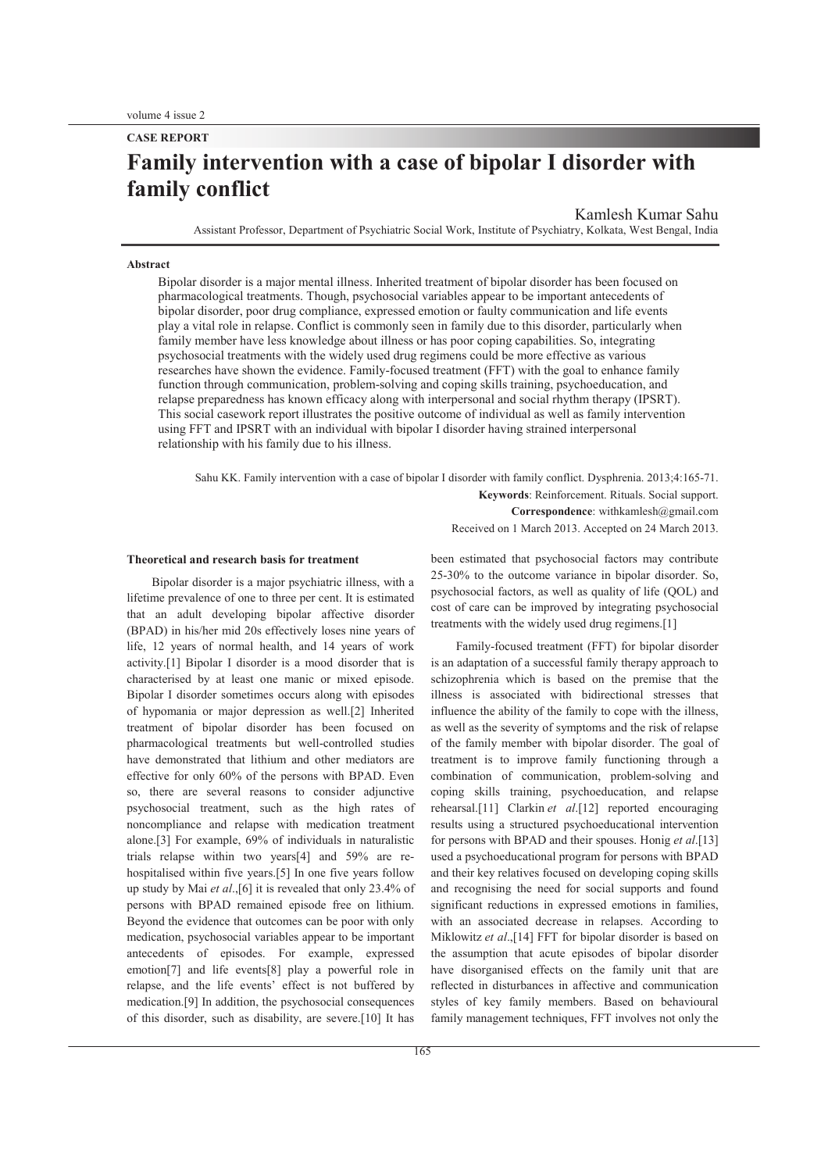# **Family intervention with a case of bipolar I disorder with family conflict**

Kamlesh Kumar Sahu

Assistant Professor, Department of Psychiatric Social Work, Institute of Psychiatry, Kolkata, West Bengal, India

#### **Abstract**

Bipolar disorder is a major mental illness. Inherited treatment of bipolar disorder has been focused on pharmacological treatments. Though, psychosocial variables appear to be important antecedents of bipolar disorder, poor drug compliance, expressed emotion or faulty communication and life events play a vital role in relapse. Conflict is commonly seen in family due to this disorder, particularly when family member have less knowledge about illness or has poor coping capabilities. So, integrating psychosocial treatments with the widely used drug regimens could be more effective as various researches have shown the evidence. Family-focused treatment (FFT) with the goal to enhance family function through communication, problem-solving and coping skills training, psychoeducation, and relapse preparedness has known efficacy along with interpersonal and social rhythm therapy (IPSRT). This social casework report illustrates the positive outcome of individual as well as family intervention using FFT and IPSRT with an individual with bipolar I disorder having strained interpersonal relationship with his family due to his illness.

Sahu KK. Family intervention with a case of bipolar I disorder with family conflict. Dysphrenia. 2013;4:165-71. **Keywords**: Reinforcement. Rituals. Social support. **Correspondence**: withkamlesh@gmail.com Received on 1 March 2013. Accepted on 24 March 2013.

#### **Theoretical and research basis for treatment**

Bipolar disorder is a major psychiatric illness, with a lifetime prevalence of one to three per cent. It is estimated that an adult developing bipolar affective disorder (BPAD) in his/her mid 20s effectively loses nine years of life, 12 years of normal health, and 14 years of work activity.[1] Bipolar I disorder is a mood disorder that is characterised by at least one manic or mixed episode. Bipolar I disorder sometimes occurs along with episodes of hypomania or major depression as well.[2] Inherited treatment of bipolar disorder has been focused on pharmacological treatments but well-controlled studies have demonstrated that lithium and other mediators are effective for only 60% of the persons with BPAD. Even so, there are several reasons to consider adjunctive psychosocial treatment, such as the high rates of noncompliance and relapse with medication treatment alone.[3] For example, 69% of individuals in naturalistic trials relapse within two years[4] and 59% are rehospitalised within five years.[5] In one five years follow up study by Mai *et al*.,[6] it is revealed that only 23.4% of persons with BPAD remained episode free on lithium. Beyond the evidence that outcomes can be poor with only medication, psychosocial variables appear to be important antecedents of episodes. For example, expressed emotion[7] and life events[8] play a powerful role in relapse, and the life events' effect is not buffered by medication.[9] In addition, the psychosocial consequences of this disorder, such as disability, are severe.[10] It has been estimated that psychosocial factors may contribute 25-30% to the outcome variance in bipolar disorder. So, psychosocial factors, as well as quality of life (QOL) and cost of care can be improved by integrating psychosocial treatments with the widely used drug regimens.[1]

Family-focused treatment (FFT) for bipolar disorder is an adaptation of a successful family therapy approach to schizophrenia which is based on the premise that the illness is associated with bidirectional stresses that influence the ability of the family to cope with the illness, as well as the severity of symptoms and the risk of relapse of the family member with bipolar disorder. The goal of treatment is to improve family functioning through a combination of communication, problem-solving and coping skills training, psychoeducation, and relapse rehearsal.[11] Clarkin *et al*.[12] reported encouraging results using a structured psychoeducational intervention for persons with BPAD and their spouses. Honig *et al*.[13] used a psychoeducational program for persons with BPAD and their key relatives focused on developing coping skills and recognising the need for social supports and found significant reductions in expressed emotions in families, with an associated decrease in relapses. According to Miklowitz *et al*.,[14] FFT for bipolar disorder is based on the assumption that acute episodes of bipolar disorder have disorganised effects on the family unit that are reflected in disturbances in affective and communication styles of key family members. Based on behavioural family management techniques, FFT involves not only the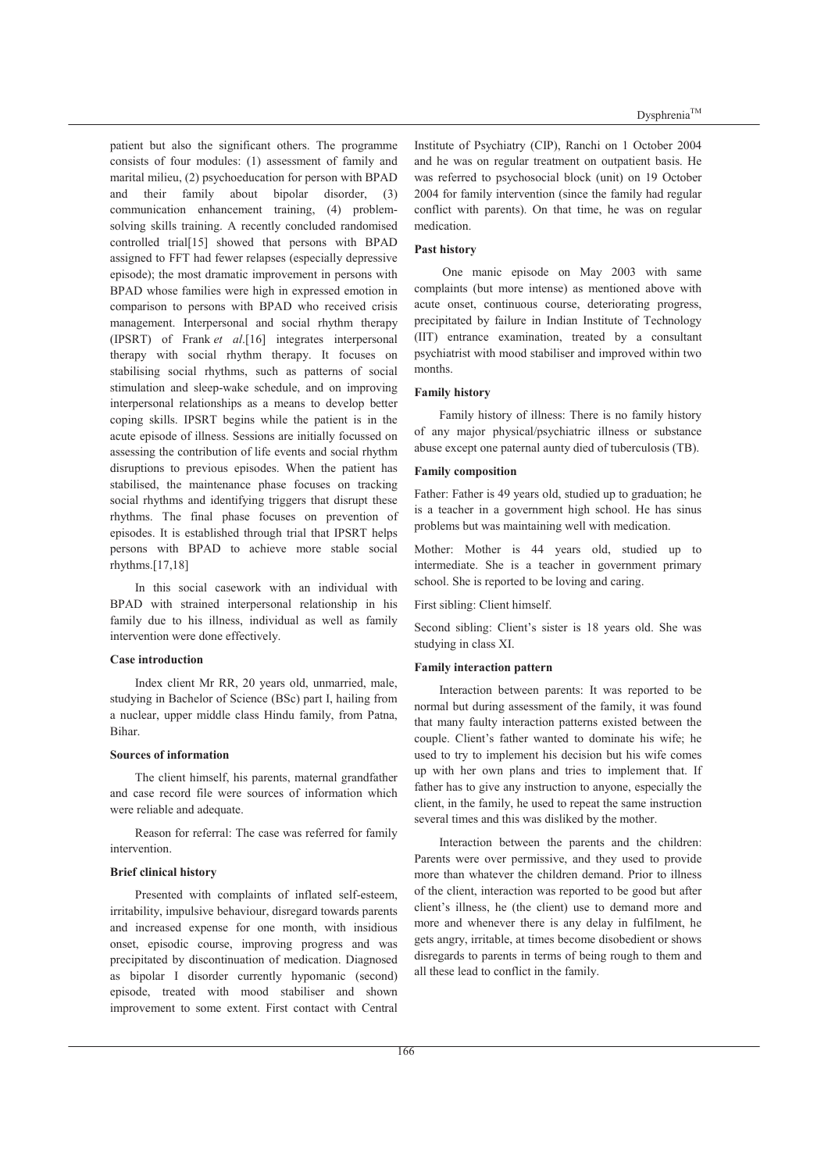patient but also the significant others. The programme consists of four modules: (1) assessment of family and marital milieu, (2) psychoeducation for person with BPAD and their family about bipolar disorder, (3) communication enhancement training, (4) problemsolving skills training. A recently concluded randomised controlled trial[15] showed that persons with BPAD assigned to FFT had fewer relapses (especially depressive episode); the most dramatic improvement in persons with BPAD whose families were high in expressed emotion in comparison to persons with BPAD who received crisis management. Interpersonal and social rhythm therapy (IPSRT) of Frank *et al*.[16] integrates interpersonal therapy with social rhythm therapy. It focuses on stabilising social rhythms, such as patterns of social stimulation and sleep-wake schedule, and on improving interpersonal relationships as a means to develop better coping skills. IPSRT begins while the patient is in the acute episode of illness. Sessions are initially focussed on assessing the contribution of life events and social rhythm disruptions to previous episodes. When the patient has stabilised, the maintenance phase focuses on tracking social rhythms and identifying triggers that disrupt these rhythms. The final phase focuses on prevention of episodes. It is established through trial that IPSRT helps persons with BPAD to achieve more stable social rhythms.[17,18]

In this social casework with an individual with BPAD with strained interpersonal relationship in his family due to his illness, individual as well as family intervention were done effectively.

#### **Case introduction**

Index client Mr RR, 20 years old, unmarried, male, studying in Bachelor of Science (BSc) part I, hailing from a nuclear, upper middle class Hindu family, from Patna, Bihar.

#### **Sources of information**

The client himself, his parents, maternal grandfather and case record file were sources of information which were reliable and adequate.

Reason for referral: The case was referred for family intervention.

#### **Brief clinical history**

Presented with complaints of inflated self-esteem, irritability, impulsive behaviour, disregard towards parents and increased expense for one month, with insidious onset, episodic course, improving progress and was precipitated by discontinuation of medication. Diagnosed as bipolar I disorder currently hypomanic (second) episode, treated with mood stabiliser and shown improvement to some extent. First contact with Central

Institute of Psychiatry (CIP), Ranchi on 1 October 2004 and he was on regular treatment on outpatient basis. He was referred to psychosocial block (unit) on 19 October 2004 for family intervention (since the family had regular conflict with parents). On that time, he was on regular medication.

# **Past history**

 One manic episode on May 2003 with same complaints (but more intense) as mentioned above with acute onset, continuous course, deteriorating progress, precipitated by failure in Indian Institute of Technology (IIT) entrance examination, treated by a consultant psychiatrist with mood stabiliser and improved within two months.

# **Family history**

Family history of illness: There is no family history of any major physical/psychiatric illness or substance abuse except one paternal aunty died of tuberculosis (TB).

#### **Family composition**

Father: Father is 49 years old, studied up to graduation; he is a teacher in a government high school. He has sinus problems but was maintaining well with medication.

Mother: Mother is 44 years old, studied up to intermediate. She is a teacher in government primary school. She is reported to be loving and caring.

## First sibling: Client himself.

Second sibling: Client's sister is 18 years old. She was studying in class XI.

#### **Family interaction pattern**

Interaction between parents: It was reported to be normal but during assessment of the family, it was found that many faulty interaction patterns existed between the couple. Client's father wanted to dominate his wife; he used to try to implement his decision but his wife comes up with her own plans and tries to implement that. If father has to give any instruction to anyone, especially the client, in the family, he used to repeat the same instruction several times and this was disliked by the mother.

Interaction between the parents and the children: Parents were over permissive, and they used to provide more than whatever the children demand. Prior to illness of the client, interaction was reported to be good but after client's illness, he (the client) use to demand more and more and whenever there is any delay in fulfilment, he gets angry, irritable, at times become disobedient or shows disregards to parents in terms of being rough to them and all these lead to conflict in the family.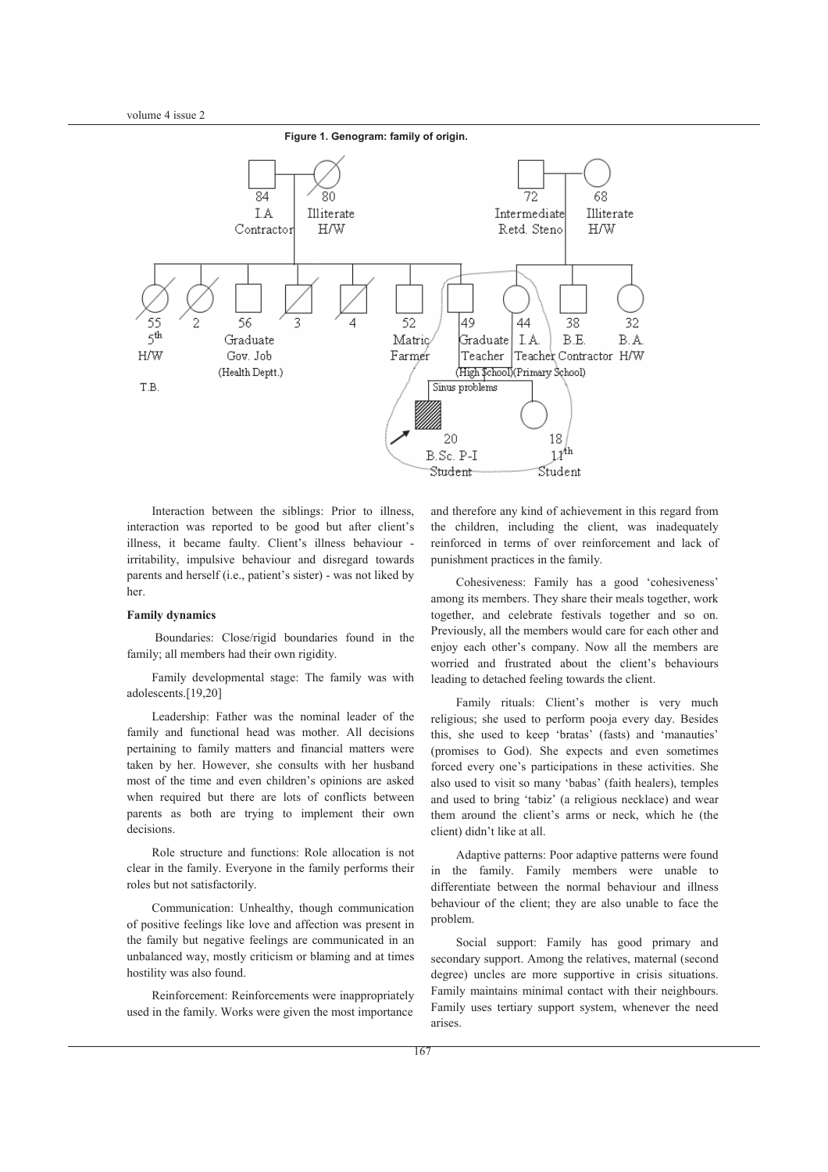

Interaction between the siblings: Prior to illness, interaction was reported to be good but after client's illness, it became faulty. Client's illness behaviour irritability, impulsive behaviour and disregard towards parents and herself (i.e., patient's sister) - was not liked by her.

#### **Family dynamics**

Boundaries: Close/rigid boundaries found in the family; all members had their own rigidity.

Family developmental stage: The family was with adolescents.[19,20]

Leadership: Father was the nominal leader of the family and functional head was mother. All decisions pertaining to family matters and financial matters were taken by her. However, she consults with her husband most of the time and even children's opinions are asked when required but there are lots of conflicts between parents as both are trying to implement their own decisions.

Role structure and functions: Role allocation is not clear in the family. Everyone in the family performs their roles but not satisfactorily.

Communication: Unhealthy, though communication of positive feelings like love and affection was present in the family but negative feelings are communicated in an unbalanced way, mostly criticism or blaming and at times hostility was also found.

Reinforcement: Reinforcements were inappropriately used in the family. Works were given the most importance and therefore any kind of achievement in this regard from the children, including th the client, was inadequately reinforced in terms of over reinforcement and lack of punishment practices in the family.

Cohesiveness: Family has a good 'cohesiveness' among its members. They share their meals together, work together, and celebrate festivals together and so on. Previously, all the members would care for each other and enjoy each other's company. Now all the members are worried and frustrated about the client's behaviours leading to detached feeling towards the client.

Family rituals: Client's mother is very much religious; she used to perform pooja every day. Besides this, she used to keep 'bratas' (fasts) and 'manauties' (promises to God). She e expects and even sometimes forced every one's participations in these activities. She also used to visit so many 'babas' (faith healers), temples and used to bring 'tabiz' (a religious necklace) and wear them around the client's arms or neck, which he (the client) didn't like at all.

Adaptive patterns: Poor adaptive patterns were found in the family. Family members were unable to differentiate between the n normal behaviour and illness behaviour of the client; they are also unable to face the problem.

Social support: Family has good primary and secondary support. Among the relatives, maternal (second degree) uncles are more supportive in crisis situations. Family maintains minimal contact with their neighbours. Family uses tertiary support system, whenever the need arises.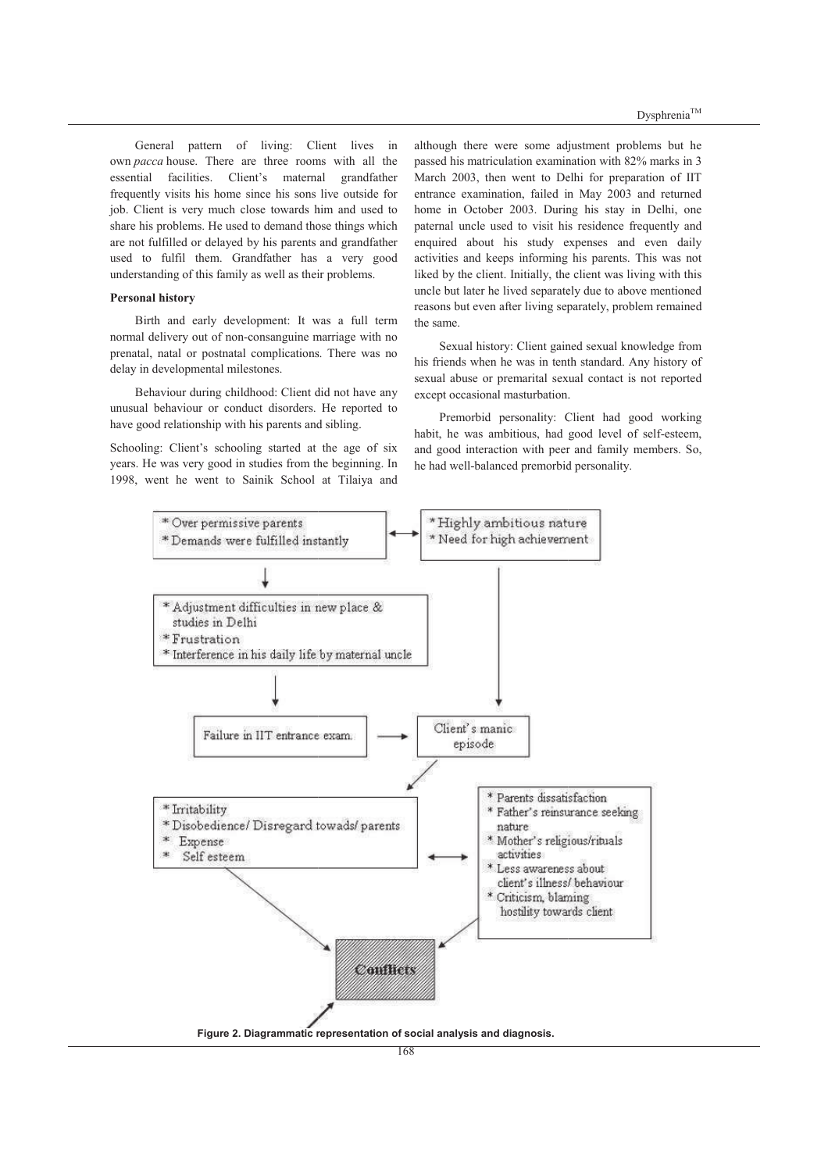General pattern of living: Client lives in own *pacca* house. There are three rooms with all the essential facilities. Client's maternal grandfather frequently visits his home since his sons live outside for job. Client is very much close towards him and used to share his problems. He used to demand those things which are not fulfilled or delayed by his parents and grandfather used to fulfil them. Grandfather has a very good understanding of this family as well as their problems.

# **Personal history**

Birth and early development: It was a full term normal delivery out of non-consanguine marriage with no prenatal, natal or postnatal complications. There was no delay in developmental milestones.

Behaviour during childhood: Client did not have any unusual behaviour or conduct disorders. He reported to have good relationship with his parents and sibling.

Schooling: Client's schooling started at the age of six years. He was very good in studies from the beginning. In 1998, went he went to Sainik School at Tilaiya and

although there were some adjustment problems but he passed his matriculation examination with 82% marks in 3 March 2003, then went to Delhi for preparation of IIT entrance examination, failed in May 2003 and returned home in October 2003. During his stay in Delhi, one paternal uncle used to visit his his residence frequently and enquired about his study expenses and even daily activities and keeps informing his parents. This was not liked by the client. Initially, the client was living with this uncle but later he lived separately due to above mentioned reasons but even after living separately, problem remained the same.

Sexual history: Client gained sexual knowledge from his friends when he was in tenth standard. Any history of sexual abuse or premarital sexual contact is not reported except occasional masturbation. pt occasional masturbation.<br>Premorbid personality: Client had good working

habit, he was ambitious, had good level of self-esteem, and good interaction with peer and family members. So, he had well-balanced premorbid personality.

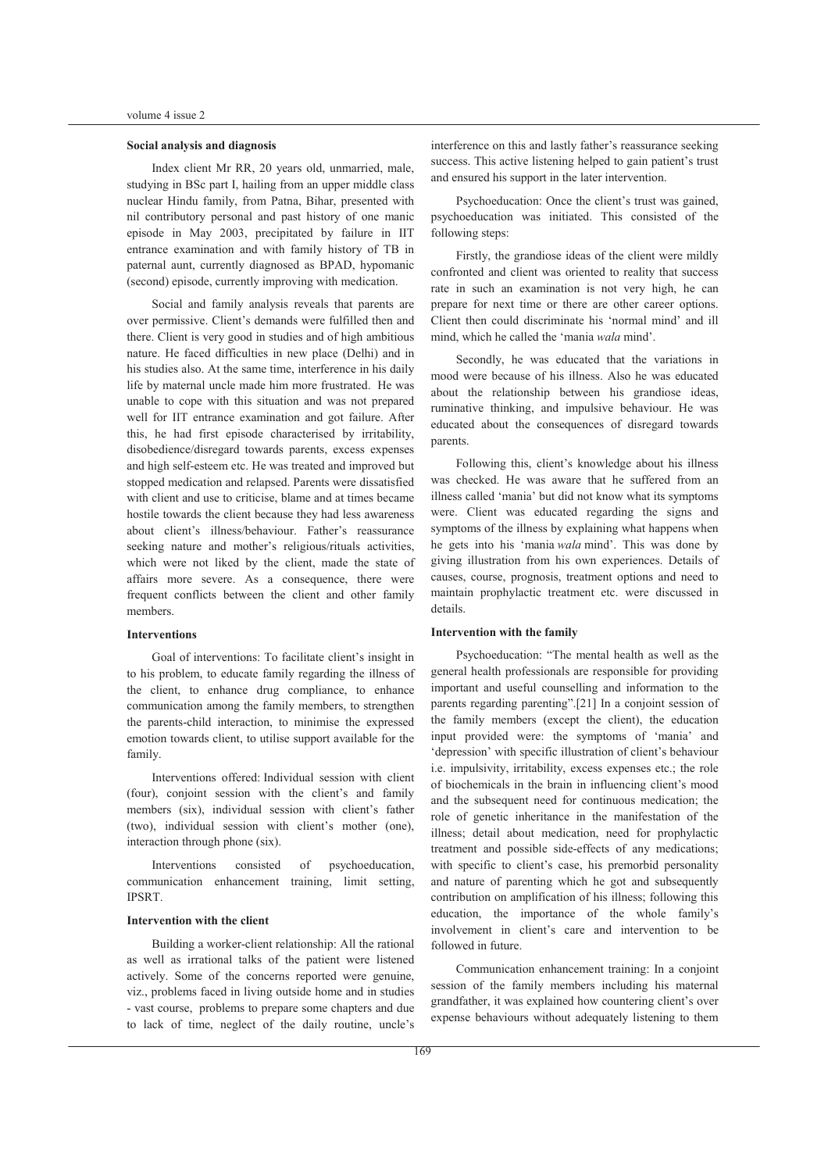# **Social analysis and diagnosis**

Index client Mr RR, 20 years old, unmarried, male, studying in BSc part I, hailing from an upper middle class nuclear Hindu family, from Patna, Bihar, presented with nil contributory personal and past history of one manic episode in May 2003, precipitated by failure in IIT entrance examination and with family history of TB in paternal aunt, currently diagnosed as BPAD, hypomanic (second) episode, currently improving with medication.

Social and family analysis reveals that parents are over permissive. Client's demands were fulfilled then and there. Client is very good in studies and of high ambitious nature. He faced difficulties in new place (Delhi) and in his studies also. At the same time, interference in his daily life by maternal uncle made him more frustrated. He was unable to cope with this situation and was not prepared well for IIT entrance examination and got failure. After this, he had first episode characterised by irritability, disobedience/disregard towards parents, excess expenses and high self-esteem etc. He was treated and improved but stopped medication and relapsed. Parents were dissatisfied with client and use to criticise, blame and at times became hostile towards the client because they had less awareness about client's illness/behaviour. Father's reassurance seeking nature and mother's religious/rituals activities, which were not liked by the client, made the state of affairs more severe. As a consequence, there were frequent conflicts between the client and other family members.

# **Interventions**

Goal of interventions: To facilitate client's insight in to his problem, to educate family regarding the illness of the client, to enhance drug compliance, to enhance communication among the family members, to strengthen the parents-child interaction, to minimise the expressed emotion towards client, to utilise support available for the family.

Interventions offered: Individual session with client  $(four)$ , conjoint session with the client's and family members (six), individual session with client's father (two), individual session with client's mother (one), interaction through phone (six).

Interventions consisted of psychoeducation, communication enhancement training, limit setting, IPSRT.

# **Intervention with the client**

Building a worker-client relationship: All the rational as well as irrational talks of the patient were listened actively. Some of the concerns reported were genuine, viz., problems faced in living outside home and in studies - vast course, problems to prepare some chapters and due to lack of time, neglect of the daily routine, uncle's interference on this and lastly father's reassurance seeking success. This active listening helped to gain patient's trust and ensured his support in the later intervention.

Psychoeducation: Once the client's trust was gained, psychoeducation was initiated. This consisted of the following steps:

Firstly, the grandiose ideas of the client were mildly confronted and client was oriented to reality that success rate in such an examination is not very high, he can prepare for next time or there are other career options. Client then could discriminate his 'normal mind' and ill mind, which he called the 'mania *wala* mind'.

Secondly, he was educated that the variations in mood were because of his illness. Also he was educated about the relationship between his grandiose ideas, ruminative thinking, and impulsive behaviour. He was educated about the consequences of disregard towards parents.

Following this, client's knowledge about his illness was checked. He was aware that he suffered from an illness called 'mania' but did not know what its symptoms were. Client was educated regarding the signs and symptoms of the illness by explaining what happens when he gets into his 'mania *wala* mind'. This was done by giving illustration from his own experiences. Details of causes, course, prognosis, treatment options and need to maintain prophylactic treatment etc. were discussed in details.

#### **Intervention with the family**

Psychoeducation: "The mental health as well as the general health professionals are responsible for providing important and useful counselling and information to the parents regarding parentingî.[21] In a conjoint session of the family members (except the client), the education input provided were: the symptoms of 'mania' and 'depression' with specific illustration of client's behaviour i.e. impulsivity, irritability, excess expenses etc.; the role of biochemicals in the brain in influencing client's mood and the subsequent need for continuous medication; the role of genetic inheritance in the manifestation of the illness; detail about medication, need for prophylactic treatment and possible side-effects of any medications; with specific to client's case, his premorbid personality and nature of parenting which he got and subsequently contribution on amplification of his illness; following this education, the importance of the whole family's involvement in client's care and intervention to be followed in future.

Communication enhancement training: In a conjoint session of the family members including his maternal grandfather, it was explained how countering client's over expense behaviours without adequately listening to them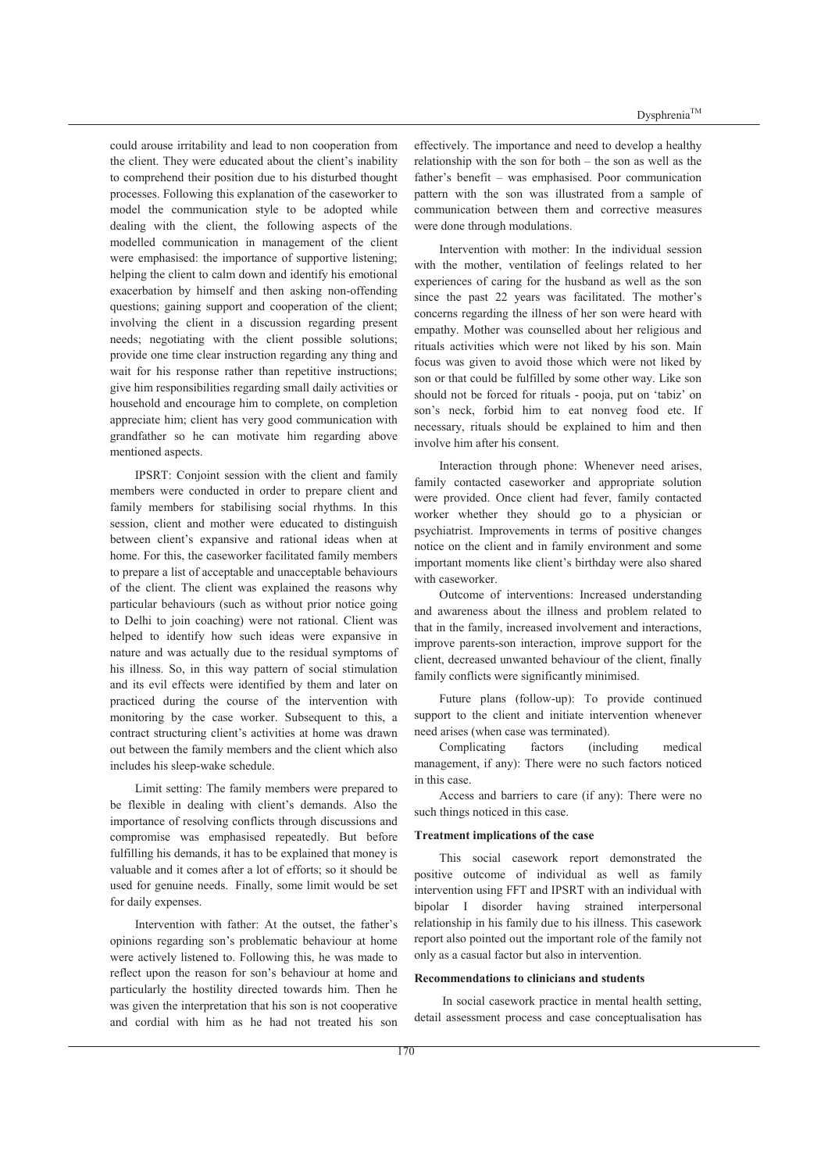could arouse irritability and lead to non cooperation from the client. They were educated about the client's inability to comprehend their position due to his disturbed thought processes. Following this explanation of the caseworker to model the communication style to be adopted while dealing with the client, the following aspects of the modelled communication in management of the client were emphasised: the importance of supportive listening; helping the client to calm down and identify his emotional exacerbation by himself and then asking non-offending questions; gaining support and cooperation of the client; involving the client in a discussion regarding present needs; negotiating with the client possible solutions; provide one time clear instruction regarding any thing and wait for his response rather than repetitive instructions; give him responsibilities regarding small daily activities or household and encourage him to complete, on completion appreciate him; client has very good communication with grandfather so he can motivate him regarding above mentioned aspects.

IPSRT: Conjoint session with the client and family members were conducted in order to prepare client and family members for stabilising social rhythms. In this session, client and mother were educated to distinguish between client's expansive and rational ideas when at home. For this, the caseworker facilitated family members to prepare a list of acceptable and unacceptable behaviours of the client. The client was explained the reasons why particular behaviours (such as without prior notice going to Delhi to join coaching) were not rational. Client was helped to identify how such ideas were expansive in nature and was actually due to the residual symptoms of his illness. So, in this way pattern of social stimulation and its evil effects were identified by them and later on practiced during the course of the intervention with monitoring by the case worker. Subsequent to this, a contract structuring client's activities at home was drawn out between the family members and the client which also includes his sleep-wake schedule.

Limit setting: The family members were prepared to be flexible in dealing with client's demands. Also the importance of resolving conflicts through discussions and compromise was emphasised repeatedly. But before fulfilling his demands, it has to be explained that money is valuable and it comes after a lot of efforts; so it should be used for genuine needs. Finally, some limit would be set for daily expenses.

Intervention with father: At the outset, the father's opinions regarding son's problematic behaviour at home were actively listened to. Following this, he was made to reflect upon the reason for son's behaviour at home and particularly the hostility directed towards him. Then he was given the interpretation that his son is not cooperative and cordial with him as he had not treated his son effectively. The importance and need to develop a healthy relationship with the son for both  $-$  the son as well as the father's benefit – was emphasised. Poor communication pattern with the son was illustrated from a sample of communication between them and corrective measures were done through modulations.

Intervention with mother: In the individual session with the mother, ventilation of feelings related to her experiences of caring for the husband as well as the son since the past 22 years was facilitated. The mother's concerns regarding the illness of her son were heard with empathy. Mother was counselled about her religious and rituals activities which were not liked by his son. Main focus was given to avoid those which were not liked by son or that could be fulfilled by some other way. Like son should not be forced for rituals - pooja, put on 'tabiz' on son's neck, forbid him to eat nonveg food etc. If necessary, rituals should be explained to him and then involve him after his consent.

Interaction through phone: Whenever need arises, family contacted caseworker and appropriate solution were provided. Once client had fever, family contacted worker whether they should go to a physician or psychiatrist. Improvements in terms of positive changes notice on the client and in family environment and some important moments like client's birthday were also shared with caseworker.

Outcome of interventions: Increased understanding and awareness about the illness and problem related to that in the family, increased involvement and interactions, improve parents-son interaction, improve support for the client, decreased unwanted behaviour of the client, finally family conflicts were significantly minimised.

Future plans (follow-up): To provide continued support to the client and initiate intervention whenever need arises (when case was terminated).

Complicating factors (including medical management, if any): There were no such factors noticed in this case.

Access and barriers to care (if any): There were no such things noticed in this case.

#### **Treatment implications of the case**

This social casework report demonstrated the positive outcome of individual as well as family intervention using FFT and IPSRT with an individual with bipolar I disorder having strained interpersonal relationship in his family due to his illness. This casework report also pointed out the important role of the family not only as a casual factor but also in intervention.

## **Recommendations to clinicians and students**

 In social casework practice in mental health setting, detail assessment process and case conceptualisation has